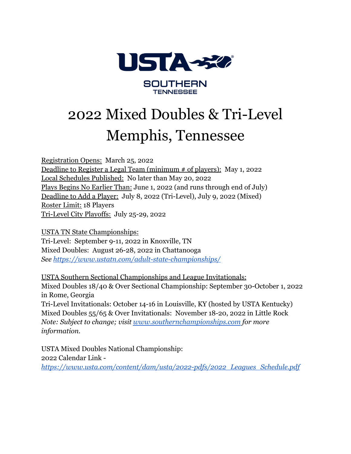

# 2022 Mixed Doubles & Tri-Level Memphis, Tennessee

Registration Opens: March 25, 2022 Deadline to Register a Legal Team (minimum # of players): May 1, 2022 Local Schedules Published: No later than May 20, 2022 Plays Begins No Earlier Than: June 1, 2022 (and runs through end of July) Deadline to Add a Player: July 8, 2022 (Tri-Level), July 9, 2022 (Mixed) Roster Limit: 18 Players Tri-Level City Playoffs: July 25-29, 2022

USTA TN State Championships: Tri-Level: September 9-11, 2022 in Knoxville, TN Mixed Doubles: August 26-28, 2022 in Chattanooga *See <https://www.ustatn.com/adult-state-championships/>*

USTA Southern Sectional Championships and League Invitationals: Mixed Doubles 18/40 & Over Sectional Championship: September 30-October 1, 2022 in Rome, Georgia Tri-Level Invitationals: October 14-16 in Louisville, KY (hosted by USTA Kentucky) Mixed Doubles 55/65 & Over Invitationals: November 18-20, 2022 in Little Rock *Note: Subject to change; visit [www.southernchampionships.com](http://www.southernchampionships.com) for more information.*

USTA Mixed Doubles National Championship: 2022 Calendar Link *[https://www.usta.com/content/dam/usta/2022-pdfs/2022\\_Leagues\\_Schedule.pdf](https://www.usta.com/content/dam/usta/2022-pdfs/2022_Leagues_Schedule.pdf)*